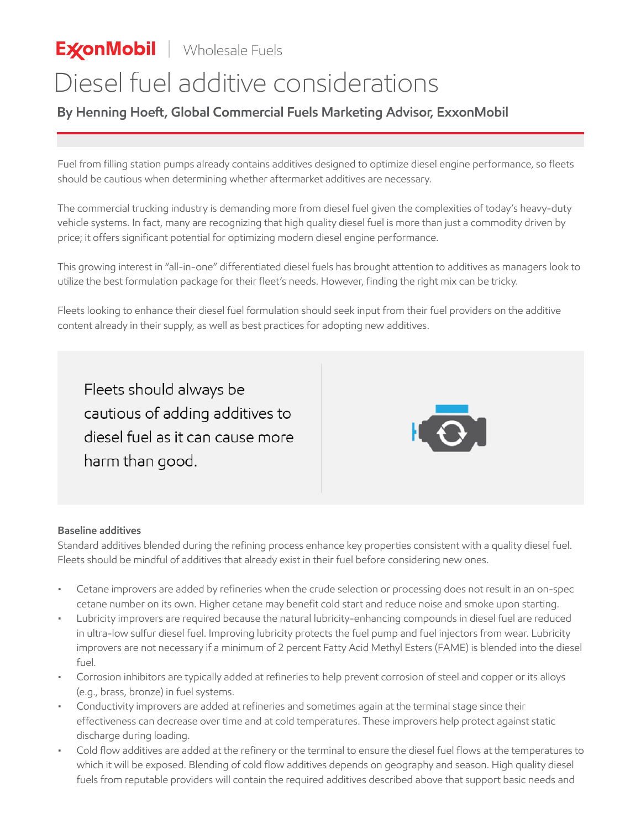**ExonMobil** | Wholesale Fuels

## Diesel fuel additive considerations

**By Henning Hoeft, Global Commercial Fuels Marketing Advisor, ExxonMobil**

Fuel from filling station pumps already contains additives designed to optimize diesel engine performance, so fleets should be cautious when determining whether aftermarket additives are necessary.

The commercial trucking industry is demanding more from diesel fuel given the complexities of today's heavy-duty vehicle systems. In fact, many are recognizing that high quality diesel fuel is more than just a commodity driven by price; it offers significant potential for optimizing modern diesel engine performance.

This growing interest in "all-in-one" differentiated diesel fuels has brought attention to additives as managers look to utilize the best formulation package for their fleet's needs. However, finding the right mix can be tricky.

Fleets looking to enhance their diesel fuel formulation should seek input from their fuel providers on the additive content already in their supply, as well as best practices for adopting new additives.

Fleets should always be cautious of adding additives to diesel fuel as it can cause more harm than good.



## **Baseline additives**

Standard additives blended during the refining process enhance key properties consistent with a quality diesel fuel. Fleets should be mindful of additives that already exist in their fuel before considering new ones.

- Cetane improvers are added by refineries when the crude selection or processing does not result in an on-spec cetane number on its own. Higher cetane may benefit cold start and reduce noise and smoke upon starting.
- Lubricity improvers are required because the natural lubricity-enhancing compounds in diesel fuel are reduced in ultra-low sulfur diesel fuel. Improving lubricity protects the fuel pump and fuel injectors from wear. Lubricity improvers are not necessary if a minimum of 2 percent Fatty Acid Methyl Esters (FAME) is blended into the diesel fuel.
- Corrosion inhibitors are typically added at refineries to help prevent corrosion of steel and copper or its alloys (e.g., brass, bronze) in fuel systems.
- Conductivity improvers are added at refineries and sometimes again at the terminal stage since their effectiveness can decrease over time and at cold temperatures. These improvers help protect against static discharge during loading.
- Cold flow additives are added at the refinery or the terminal to ensure the diesel fuel flows at the temperatures to which it will be exposed. Blending of cold flow additives depends on geography and season. High quality diesel fuels from reputable providers will contain the required additives described above that support basic needs and